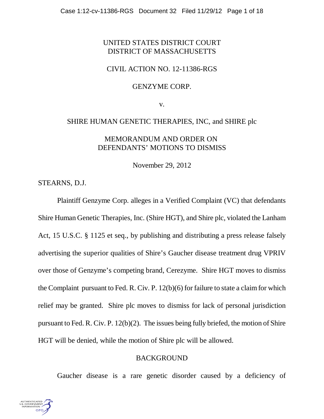# UNITED STATES DISTRICT COURT DISTRICT OF MASSACHUSETTS

## CIVIL ACTION NO. 12-11386-RGS

## GENZYME CORP.

v.

## SHIRE HUMAN GENETIC THERAPIES, INC, and SHIRE plc

## MEMORANDUM AND ORDER ON DEFENDANTS' MOTIONS TO DISMISS

November 29, 2012

STEARNS, D.J.

Plaintiff Genzyme Corp. alleges in a Verified Complaint (VC) that defendants Shire Human Genetic Therapies, Inc. (Shire HGT), and Shire plc, violated the Lanham Act, 15 U.S.C. § 1125 et seq., by publishing and distributing a press release falsely advertising the superior qualities of Shire's Gaucher disease treatment drug VPRIV over those of Genzyme's competing brand, Cerezyme. Shire HGT moves to dismiss the Complaint pursuant to Fed. R. Civ. P. 12(b)(6) for failure to state a claim for which relief may be granted. Shire plc moves to dismiss for lack of personal jurisdiction pursuant to Fed. R. Civ. P. 12(b)(2). The issues being fully briefed, the motion of Shire HGT will be denied, while the motion of Shire plc will be allowed.

## BACKGROUND

Gaucher disease is a rare genetic disorder caused by a deficiency of

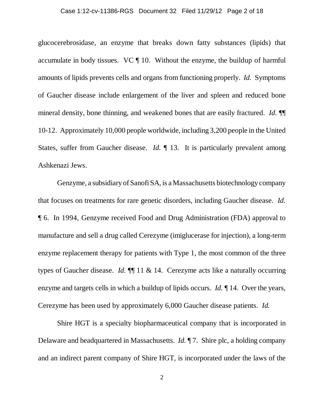#### Case 1:12-cv-11386-RGS Document 32 Filed 11/29/12 Page 2 of 18

glucocerebrosidase, an enzyme that breaks down fatty substances (lipids) that accumulate in body tissues. VC ¶ 10. Without the enzyme, the buildup of harmful amounts of lipids prevents cells and organs from functioning properly. *Id.* Symptoms of Gaucher disease include enlargement of the liver and spleen and reduced bone mineral density, bone thinning, and weakened bones that are easily fractured. *Id.* ¶¶ 10-12. Approximately 10,000 people worldwide, including 3,200 people in the United States, suffer from Gaucher disease. *Id.* 13. It is particularly prevalent among Ashkenazi Jews.

Genzyme, a subsidiary of Sanofi SA, is a Massachusetts biotechnology company that focuses on treatments for rare genetic disorders, including Gaucher disease. *Id.* ¶ 6. In 1994, Genzyme received Food and Drug Administration (FDA) approval to manufacture and sell a drug called Cerezyme (imiglucerase for injection), a long-term enzyme replacement therapy for patients with Type 1, the most common of the three types of Gaucher disease. *Id.* ¶¶ 11 & 14.Cerezyme acts like a naturally occurring enzyme and targets cells in which a buildup of lipids occurs. *Id.* ¶ 14. Over the years, Cerezyme has been used by approximately 6,000 Gaucher disease patients. *Id.*

Shire HGT is a specialty biopharmaceutical company that is incorporated in Delaware and headquartered in Massachusetts. *Id.* ¶ 7. Shire plc, a holding company and an indirect parent company of Shire HGT, is incorporated under the laws of the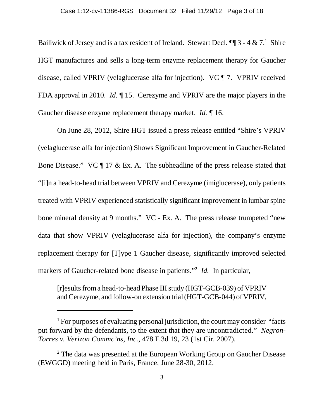Bailiwick of Jersey and is a tax resident of Ireland. Stewart Decl.  $\P\P$ 3 - 4 & 7.<sup>1</sup> Shire HGT manufactures and sells a long-term enzyme replacement therapy for Gaucher disease, called VPRIV (velaglucerase alfa for injection). VC ¶ 7. VPRIV received FDA approval in 2010. *Id.* ¶ 15. Cerezyme and VPRIV are the major players in the Gaucher disease enzyme replacement therapy market. *Id.* ¶ 16.

On June 28, 2012, Shire HGT issued a press release entitled "Shire's VPRIV (velaglucerase alfa for injection) Shows Significant Improvement in Gaucher-Related Bone Disease." VC ¶ 17 & Ex. A. The subheadline of the press release stated that "[i]n a head-to-head trial between VPRIV and Cerezyme (imiglucerase), only patients treated with VPRIV experienced statistically significant improvement in lumbar spine bone mineral density at 9 months." VC - Ex. A. The press release trumpeted "new data that show VPRIV (velaglucerase alfa for injection), the company's enzyme replacement therapy for [T]ype 1 Gaucher disease, significantly improved selected markers of Gaucher-related bone disease in patients."<sup>2</sup> *Id*. In particular,

[r]esults from a head-to-head Phase III study (HGT-GCB-039) of VPRIV and Cerezyme, and follow-on extension trial (HGT-GCB-044) of VPRIV,

<sup>&</sup>lt;sup>1</sup> For purposes of evaluating personal jurisdiction, the court may consider "facts" put forward by the defendants, to the extent that they are uncontradicted." *Negron-Torres v. Verizon Commc'ns, Inc.*, 478 F.3d 19, 23 (1st Cir. 2007).

<sup>&</sup>lt;sup>2</sup> The data was presented at the European Working Group on Gaucher Disease (EWGGD) meeting held in Paris, France, June 28-30, 2012.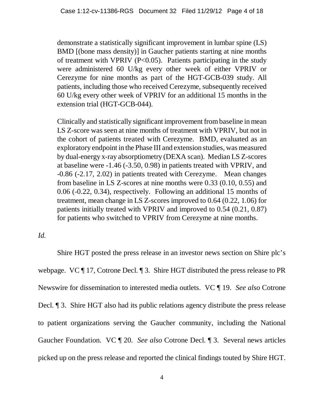demonstrate a statistically significant improvement in lumbar spine (LS) BMD [(bone mass density)] in Gaucher patients starting at nine months of treatment with VPRIV ( $P<0.05$ ). Patients participating in the study were administered 60 U/kg every other week of either VPRIV or Cerezyme for nine months as part of the HGT-GCB-039 study. All patients, including those who received Cerezyme, subsequently received 60 U/kg every other week of VPRIV for an additional 15 months in the extension trial (HGT-GCB-044).

Clinically and statistically significant improvement from baseline in mean LS Z-score was seen at nine months of treatment with VPRIV, but not in the cohort of patients treated with Cerezyme. BMD, evaluated as an exploratory endpoint in the Phase III and extension studies, was measured by dual-energy x-ray absorptiometry (DEXA scan). Median LS Z-scores at baseline were -1.46 (-3.50, 0.98) in patients treated with VPRIV, and -0.86 (-2.17, 2.02) in patients treated with Cerezyme. Mean changes from baseline in LS Z-scores at nine months were 0.33 (0.10, 0.55) and 0.06 (-0.22, 0.34), respectively. Following an additional 15 months of treatment, mean change in LS Z-scores improved to 0.64 (0.22, 1.06) for patients initially treated with VPRIV and improved to 0.54 (0.21, 0.87) for patients who switched to VPRIV from Cerezyme at nine months.

## *Id.*

Shire HGT posted the press release in an investor news section on Shire plc's webpage. VC ¶ 17, Cotrone Decl. ¶ 3.Shire HGT distributed the press release to PR Newswire for dissemination to interested media outlets. VC ¶ 19. *See also* Cotrone Decl. ¶ 3. Shire HGT also had its public relations agency distribute the press release to patient organizations serving the Gaucher community, including the National Gaucher Foundation. VC ¶ 20. *See also* Cotrone Decl. ¶ 3. Several news articles picked up on the press release and reported the clinical findings touted by Shire HGT.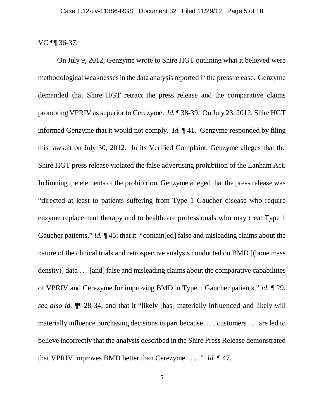VC ¶¶ 36-37.

On July 9, 2012, Genzyme wrote to Shire HGT outlining what it believed were methodological weaknesses in the data analysis reported in the press release. Genzyme demanded that Shire HGT retract the press release and the comparative claims promoting VPRIV as superior to Cerezyme. *Id.* ¶ 38-39. On July 23, 2012, Shire HGT informed Genzyme that it would not comply. *Id.* ¶ 41. Genzyme responded by filing this lawsuit on July 30, 2012. In its Verified Complaint, Genzyme alleges that the Shire HGT press release violated the false advertising prohibition of the Lanham Act. In limning the elements of the prohibition, Genzyme alleged that the press release was "directed at least to patients suffering from Type 1 Gaucher disease who require enzyme replacement therapy and to healthcare professionals who may treat Type 1 Gaucher patients," *id.* ¶ 45; that it "contain[ed] false and misleading claims about the nature of the clinical trials and retrospective analysis conducted on BMD [(bone mass density)] data . . . [and] false and misleading claims about the comparative capabilities of VPRIV and Cerezyme for improving BMD in Type 1 Gaucher patients," *id.* ¶ 29, *see also id.* ¶¶ 28-34; and that it "likely [has] materially influenced and likely will materially influence purchasing decisions in part because . . . customers . . . are led to believe incorrectly that the analysis described in the Shire Press Release demonstrated that VPRIV improves BMD better than Cerezyme . . . ." *Id.* ¶ 47.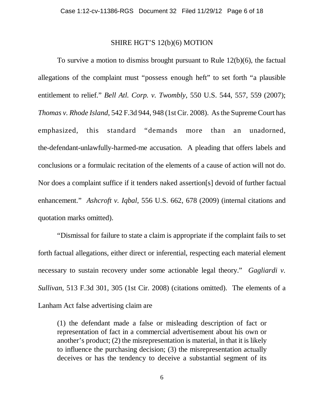### SHIRE HGT'S 12(b)(6) MOTION

To survive a motion to dismiss brought pursuant to Rule 12(b)(6), the factual allegations of the complaint must "possess enough heft" to set forth "a plausible entitlement to relief." *Bell Atl. Corp. v. Twombly*, 550 U.S. 544, 557, 559 (2007); *Thomas v. Rhode Island*, 542 F.3d 944, 948 (1st Cir. 2008). As the Supreme Court has emphasized, this standard "demands more than an unadorned, the-defendant-unlawfully-harmed-me accusation. A pleading that offers labels and conclusions or a formulaic recitation of the elements of a cause of action will not do. Nor does a complaint suffice if it tenders naked assertion[s] devoid of further factual enhancement." *Ashcroft v. Iqbal*, 556 U.S. 662, 678 (2009) (internal citations and quotation marks omitted).

"Dismissal for failure to state a claim is appropriate if the complaint fails to set forth factual allegations, either direct or inferential, respecting each material element necessary to sustain recovery under some actionable legal theory." *Gagliardi v. Sullivan*, 513 F.3d 301, 305 (1st Cir. 2008) (citations omitted). The elements of a Lanham Act false advertising claim are

(1) the defendant made a false or misleading description of fact or representation of fact in a commercial advertisement about his own or another's product; (2) the misrepresentation is material, in that it is likely to influence the purchasing decision; (3) the misrepresentation actually deceives or has the tendency to deceive a substantial segment of its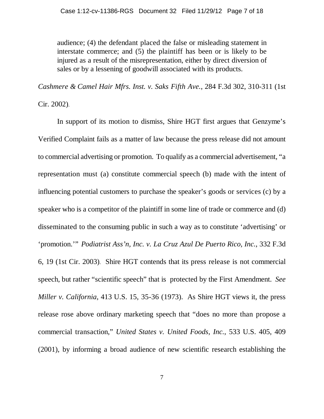audience; (4) the defendant placed the false or misleading statement in interstate commerce; and (5) the plaintiff has been or is likely to be injured as a result of the misrepresentation, either by direct diversion of sales or by a lessening of goodwill associated with its products.

*Cashmere & Camel Hair Mfrs. Inst. v. Saks Fifth Ave.*, 284 F.3d 302, 310-311 (1st

Cir. 2002).

In support of its motion to dismiss, Shire HGT first argues that Genzyme's Verified Complaint fails as a matter of law because the press release did not amount to commercial advertising or promotion. To qualify as a commercial advertisement, "a representation must (a) constitute commercial speech (b) made with the intent of influencing potential customers to purchase the speaker's goods or services (c) by a speaker who is a competitor of the plaintiff in some line of trade or commerce and (d) disseminated to the consuming public in such a way as to constitute 'advertising' or 'promotion.'" *Podiatrist Ass'n, Inc. v. La Cruz Azul De Puerto Rico, Inc.*, 332 F.3d 6, 19 (1st Cir. 2003). Shire HGT contends that its press release is not commercial speech, but rather "scientific speech" that is protected by the First Amendment. *See Miller v. California*, 413 U.S. 15, 35-36 (1973). As Shire HGT views it, the press release rose above ordinary marketing speech that "does no more than propose a commercial transaction," *United States v. United Foods, Inc.*, 533 U.S. 405, 409 (2001), by informing a broad audience of new scientific research establishing the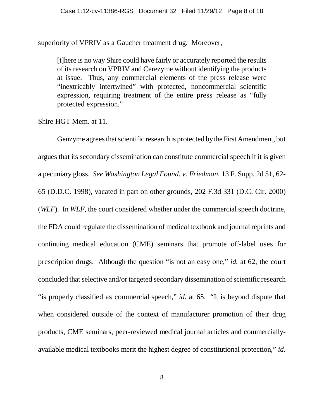superiority of VPRIV as a Gaucher treatment drug. Moreover,

[t]here is no way Shire could have fairly or accurately reported the results of its research on VPRIV and Cerezyme without identifying the products at issue. Thus, any commercial elements of the press release were "inextricably intertwined" with protected, noncommercial scientific expression, requiring treatment of the entire press release as "fully protected expression."

Shire HGT Mem. at 11.

Genzyme agrees that scientific research is protected by the First Amendment, but argues that its secondary dissemination can constitute commercial speech if it is given a pecuniary gloss. *See Washington Legal Found. v. Friedman*, 13 F. Supp. 2d 51, 62- 65 (D.D.C. 1998), vacated in part on other grounds, 202 F.3d 331 (D.C. Cir. 2000) (*WLF*). In *WLF*, the court considered whether under the commercial speech doctrine, the FDA could regulate the dissemination of medical textbook and journal reprints and continuing medical education (CME) seminars that promote off-label uses for prescription drugs. Although the question "is not an easy one," *id.* at 62, the court concluded that selective and/or targeted secondary dissemination of scientific research "is properly classified as commercial speech," *id.* at 65. "It is beyond dispute that when considered outside of the context of manufacturer promotion of their drug products, CME seminars, peer-reviewed medical journal articles and commerciallyavailable medical textbooks merit the highest degree of constitutional protection," *id.*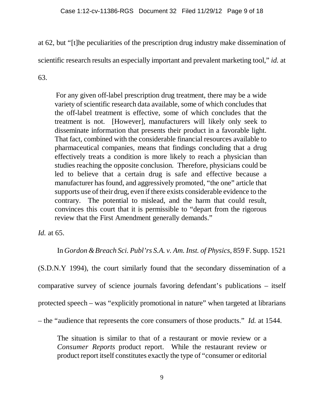at 62, but "[t]he peculiarities of the prescription drug industry make dissemination of

scientific research results an especially important and prevalent marketing tool," *id.* at

63.

For any given off-label prescription drug treatment, there may be a wide variety of scientific research data available, some of which concludes that the off-label treatment is effective, some of which concludes that the treatment is not. [However], manufacturers will likely only seek to disseminate information that presents their product in a favorable light. That fact, combined with the considerable financial resources available to pharmaceutical companies, means that findings concluding that a drug effectively treats a condition is more likely to reach a physician than studies reaching the opposite conclusion. Therefore, physicians could be led to believe that a certain drug is safe and effective because a manufacturer has found, and aggressively promoted, "the one" article that supports use of their drug, even if there exists considerable evidence to the contrary. The potential to mislead, and the harm that could result, convinces this court that it is permissible to "depart from the rigorous review that the First Amendment generally demands."

*Id.* at 65.

In *Gordon & Breach Sci. Publ'rs S.A. v. Am. Inst. of Physics*, 859 F. Supp. 1521

(S.D.N.Y 1994), the court similarly found that the secondary dissemination of a comparative survey of science journals favoring defendant's publications – itself protected speech – was "explicitly promotional in nature" when targeted at librarians – the "audience that represents the core consumers of those products." *Id.* at 1544.

The situation is similar to that of a restaurant or movie review or a *Consumer Reports* product report. While the restaurant review or product report itself constitutes exactly the type of "consumer or editorial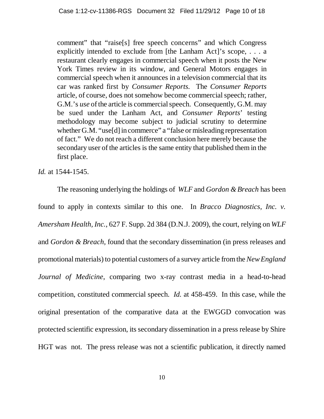comment" that "raise[s] free speech concerns" and which Congress explicitly intended to exclude from [the Lanham Act]'s scope, . . . a restaurant clearly engages in commercial speech when it posts the New York Times review in its window, and General Motors engages in commercial speech when it announces in a television commercial that its car was ranked first by *Consumer Reports.* The *Consumer Reports* article, of course, does not somehow become commercial speech; rather, G.M.'s *use* of the article is commercial speech. Consequently, G.M. may be sued under the Lanham Act, and *Consumer Reports*' testing methodology may become subject to judicial scrutiny to determine whether G.M. "use[d] in commerce" a "false or misleading representation of fact." We do not reach a different conclusion here merely because the secondary user of the articles is the same entity that published them in the first place.

*Id.* at 1544-1545.

The reasoning underlying the holdings of *WLF* and *Gordon & Breach* has been found to apply in contexts similar to this one. In *Bracco Diagnostics, Inc. v. Amersham Health, Inc.*, 627 F. Supp. 2d 384 (D.N.J. 2009), the court, relying on *WLF* and *Gordon & Breach,* found that the secondary dissemination (in press releases and promotional materials) to potential customers of a survey article from the *New England Journal of Medicine*, comparing two x-ray contrast media in a head-to-head competition, constituted commercial speech. *Id.* at 458-459. In this case, while the original presentation of the comparative data at the EWGGD convocation was protected scientific expression, its secondary dissemination in a press release by Shire HGT was not. The press release was not a scientific publication, it directly named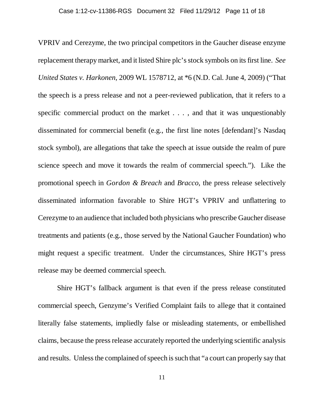VPRIV and Cerezyme, the two principal competitors in the Gaucher disease enzyme replacement therapy market, and it listed Shire plc's stock symbols on its first line. *See United States v. Harkonen*, 2009 WL 1578712, at \*6 (N.D. Cal. June 4, 2009) ("That the speech is a press release and not a peer-reviewed publication, that it refers to a specific commercial product on the market . . . , and that it was unquestionably disseminated for commercial benefit (e.g., the first line notes [defendant]'s Nasdaq stock symbol), are allegations that take the speech at issue outside the realm of pure science speech and move it towards the realm of commercial speech."). Like the promotional speech in *Gordon & Breach* and *Bracco*, the press release selectively disseminated information favorable to Shire HGT's VPRIV and unflattering to Cerezyme to an audience that included both physicians who prescribe Gaucher disease treatments and patients (e.g., those served by the National Gaucher Foundation) who might request a specific treatment. Under the circumstances, Shire HGT's press release may be deemed commercial speech.

Shire HGT's fallback argument is that even if the press release constituted commercial speech, Genzyme's Verified Complaint fails to allege that it contained literally false statements, impliedly false or misleading statements, or embellished claims, because the press release accurately reported the underlying scientific analysis and results. Unless the complained of speech is such that "a court can properly say that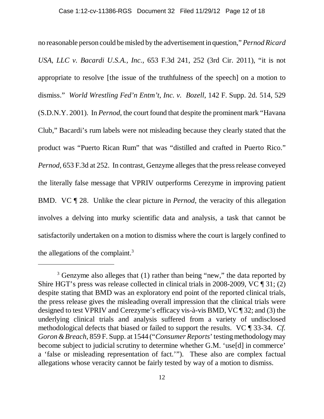no reasonable person could be misled by the advertisement in question," *Pernod Ricard USA, LLC v. Bacardi U.S.A., Inc.*, 653 F.3d 241, 252 (3rd Cir. 2011), "it is not appropriate to resolve [the issue of the truthfulness of the speech] on a motion to dismiss." *World Wrestling Fed'n Entm't, Inc. v. Bozell*, 142 F. Supp. 2d. 514, 529 (S.D.N.Y. 2001). In *Pernod*, the court found that despite the prominent mark "Havana Club," Bacardi's rum labels were not misleading because they clearly stated that the product was "Puerto Rican Rum" that was "distilled and crafted in Puerto Rico." *Pernod*, 653 F.3d at 252. In contrast, Genzyme alleges that the press release conveyed the literally false message that VPRIV outperforms Cerezyme in improving patient BMD. VC ¶ 28. Unlike the clear picture in *Pernod*, the veracity of this allegation involves a delving into murky scientific data and analysis, a task that cannot be satisfactorily undertaken on a motion to dismiss where the court is largely confined to the allegations of the complaint.3

 $3$  Genzyme also alleges that (1) rather than being "new," the data reported by Shire HGT's press was release collected in clinical trials in 2008-2009, VC ¶ 31; (2) despite stating that BMD was an exploratory end point of the reported clinical trials, the press release gives the misleading overall impression that the clinical trials were designed to test VPRIV and Cerezyme's efficacy vis-à-vis BMD, VC ¶ 32; and (3) the underlying clinical trials and analysis suffered from a variety of undisclosed methodological defects that biased or failed to support the results. VC ¶ 33-34. *Cf. Goron & Breach*, 859 F. Supp. at 1544 ("*Consumer Reports*' testing methodology may become subject to judicial scrutiny to determine whether G.M. 'use[d] in commerce' a 'false or misleading representation of fact.'"). These also are complex factual allegations whose veracity cannot be fairly tested by way of a motion to dismiss.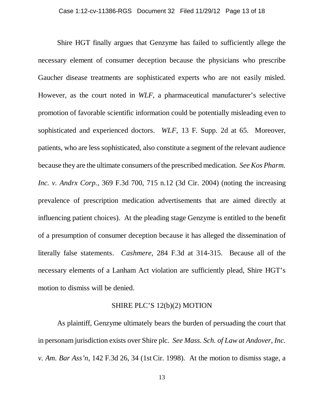Shire HGT finally argues that Genzyme has failed to sufficiently allege the necessary element of consumer deception because the physicians who prescribe Gaucher disease treatments are sophisticated experts who are not easily misled. However, as the court noted in *WLF*, a pharmaceutical manufacturer's selective promotion of favorable scientific information could be potentially misleading even to sophisticated and experienced doctors. *WLF*, 13 F. Supp. 2d at 65. Moreover, patients, who are less sophisticated, also constitute a segment of the relevant audience because they are the ultimate consumers of the prescribed medication. *See Kos Pharm. Inc. v. Andrx Corp.*, 369 F.3d 700, 715 n.12 (3d Cir. 2004) (noting the increasing prevalence of prescription medication advertisements that are aimed directly at influencing patient choices). At the pleading stage Genzyme is entitled to the benefit of a presumption of consumer deception because it has alleged the dissemination of literally false statements. *Cashmere*, 284 F.3d at 314-315. Because all of the necessary elements of a Lanham Act violation are sufficiently plead, Shire HGT's motion to dismiss will be denied.

## SHIRE PLC'S 12(b)(2) MOTION

As plaintiff, Genzyme ultimately bears the burden of persuading the court that in personam jurisdiction exists over Shire plc. *See Mass. Sch. of Law at Andover, Inc. v. Am. Bar Ass'n*, 142 F.3d 26, 34 (1st Cir. 1998). At the motion to dismiss stage, a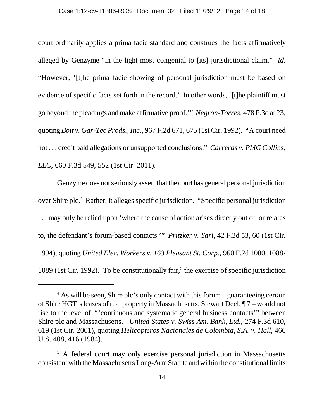court ordinarily applies a prima facie standard and construes the facts affirmatively alleged by Genzyme "in the light most congenial to [its] jurisdictional claim." *Id.* "However, '[t]he prima facie showing of personal jurisdiction must be based on evidence of specific facts set forth in the record.' In other words, '[t]he plaintiff must go beyond the pleadings and make affirmative proof.'" *Negron-Torres*, 478 F.3d at 23, quoting *Boit v. Gar-Tec Prods., Inc.*, 967 F.2d 671, 675 (1st Cir. 1992). "A court need not . . . credit bald allegations or unsupported conclusions." *Carreras v. PMG Collins, LLC*, 660 F.3d 549, 552 (1st Cir. 2011).

Genzyme does not seriously assert that the court has general personal jurisdiction over Shire plc.<sup>4</sup> Rather, it alleges specific jurisdiction. "Specific personal jurisdiction . . . may only be relied upon 'where the cause of action arises directly out of, or relates to, the defendant's forum-based contacts.'" *Pritzker v. Yari*, 42 F.3d 53, 60 (1st Cir. 1994), quoting *United Elec. Workers v. 163 Pleasant St. Corp.*, 960 F.2d 1080, 1088- 1089 (1st Cir. 1992). To be constitutionally fair,<sup>5</sup> the exercise of specific jurisdiction

<sup>&</sup>lt;sup>4</sup> As will be seen, Shire plc's only contact with this forum – guaranteeing certain of Shire HGT's leases of real property in Massachusetts, Stewart Decl. ¶ 7 – would not rise to the level of "'continuous and systematic general business contacts'" between Shire plc and Massachusetts. *United States v. Swiss Am. Bank, Ltd.*, 274 F.3d 610, 619 (1st Cir. 2001), quoting *Helicopteros Nacionales de Colombia, S.A. v. Hall*, 466 U.S. 408, 416 (1984).

<sup>&</sup>lt;sup>5</sup> A federal court may only exercise personal jurisdiction in Massachusetts consistent with the Massachusetts Long-Arm Statute and within the constitutional limits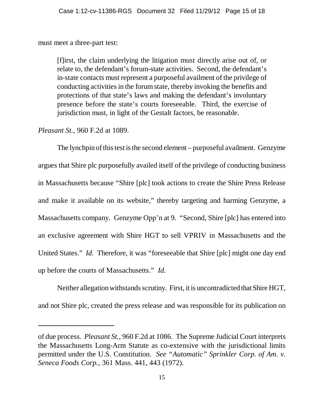must meet a three-part test:

[f]irst, the claim underlying the litigation must directly arise out of, or relate to, the defendant's forum-state activities. Second, the defendant's in-state contacts must represent a purposeful availment of the privilege of conducting activities in the forum state, thereby invoking the benefits and protections of that state's laws and making the defendant's involuntary presence before the state's courts foreseeable. Third, the exercise of jurisdiction must, in light of the Gestalt factors, be reasonable.

*Pleasant St.*, 960 F.2d at 1089.

The lynchpin of this test is the second element – purposeful availment. Genzyme argues that Shire plc purposefully availed itself of the privilege of conducting business in Massachusetts because "Shire [plc] took actions to create the Shire Press Release and make it available on its website," thereby targeting and harming Genzyme, a Massachusetts company. Genzyme Opp'n at 9. "Second, Shire [plc] has entered into an exclusive agreement with Shire HGT to sell VPRIV in Massachusetts and the United States." *Id.* Therefore, it was "foreseeable that Shire [plc] might one day end up before the courts of Massachusetts." *Id.*

Neither allegation withstands scrutiny. First, it is uncontradicted that Shire HGT, and not Shire plc, created the press release and was responsible for its publication on

of due process. *Pleasant St.*, 960 F.2d at 1086. The Supreme Judicial Court interprets the Massachusetts Long-Arm Statute as co-extensive with the jurisdictional limits permitted under the U.S. Constitution. *See "Automatic" Sprinkler Corp. of Am. v. Seneca Foods Corp.*, 361 Mass. 441, 443 (1972).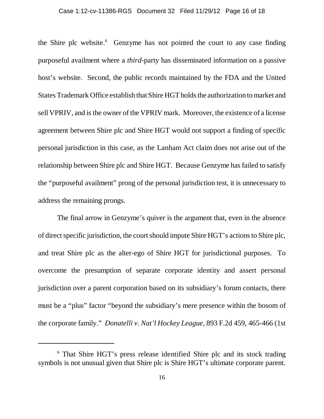the Shire plc website.<sup>6</sup> Genzyme has not pointed the court to any case finding purposeful availment where a *third*-party has disseminated information on a passive host's website. Second, the public records maintained by the FDA and the United States Trademark Office establish that Shire HGT holds the authorization to market and sell VPRIV, and is the owner of the VPRIV mark. Moreover, the existence of a license agreement between Shire plc and Shire HGT would not support a finding of specific personal jurisdiction in this case, as the Lanham Act claim does not arise out of the relationship between Shire plc and Shire HGT. Because Genzyme has failed to satisfy the "purposeful availment" prong of the personal jurisdiction test, it is unnecessary to address the remaining prongs.

The final arrow in Genzyme's quiver is the argument that, even in the absence of direct specific jurisdiction, the court should impute Shire HGT's actions to Shire plc, and treat Shire plc as the alter-ego of Shire HGT for jurisdictional purposes. To overcome the presumption of separate corporate identity and assert personal jurisdiction over a parent corporation based on its subsidiary's forum contacts, there must be a "plus" factor "beyond the subsidiary's mere presence within the bosom of the corporate family." *Donatelli v. Nat'l Hockey League*, 893 F.2d 459, 465-466 (1st

<sup>6</sup> That Shire HGT's press release identified Shire plc and its stock trading symbols is not unusual given that Shire plc is Shire HGT's ultimate corporate parent.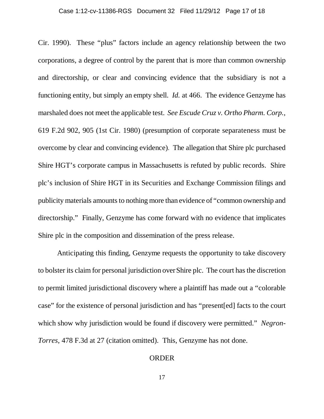Cir. 1990). These "plus" factors include an agency relationship between the two corporations, a degree of control by the parent that is more than common ownership and directorship, or clear and convincing evidence that the subsidiary is not a functioning entity, but simply an empty shell. *Id.* at 466. The evidence Genzyme has marshaled does not meet the applicable test. *See Escude Cruz v. Ortho Pharm. Corp.*, 619 F.2d 902, 905 (1st Cir. 1980) (presumption of corporate separateness must be overcome by clear and convincing evidence). The allegation that Shire plc purchased Shire HGT's corporate campus in Massachusetts is refuted by public records. Shire plc's inclusion of Shire HGT in its Securities and Exchange Commission filings and publicity materials amounts to nothing more than evidence of "common ownership and directorship." Finally, Genzyme has come forward with no evidence that implicates Shire plc in the composition and dissemination of the press release.

Anticipating this finding, Genzyme requests the opportunity to take discovery to bolster its claim for personal jurisdiction overShire plc. The court has the discretion to permit limited jurisdictional discovery where a plaintiff has made out a "colorable case" for the existence of personal jurisdiction and has "present[ed] facts to the court which show why jurisdiction would be found if discovery were permitted." *Negron-Torres*, 478 F.3d at 27 (citation omitted). This, Genzyme has not done.

### ORDER